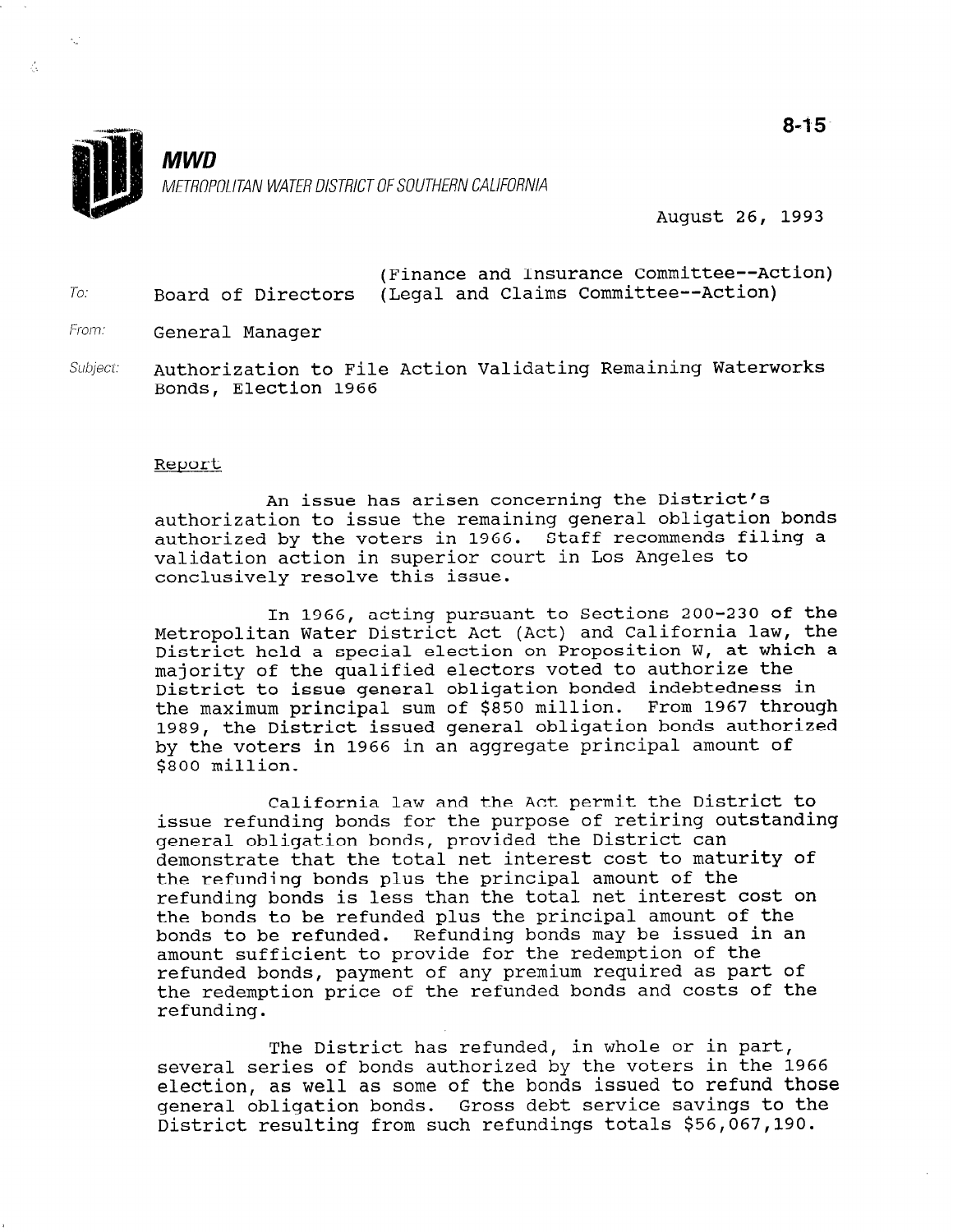

August 26, 1993

|     |  |                                                         | (Finance and Insurance Committee--Action) |  |  |  |
|-----|--|---------------------------------------------------------|-------------------------------------------|--|--|--|
| To: |  | Board of Directors (Legal and Claims Committee--Action) |                                           |  |  |  |

From: General Manager

专

Subject: Authorization to File Action Validating Remaining Waterworks Bonds, Election 1966

## Report

An issue has arisen concerning the District's authorization to issue the remaining general obligation bonds authorized by the voters in 1966. Staff recommends filing a validation action in superior court in Los Angeles to conclusively resolve this issue.

In 1966, acting pursuant to Sections 200-230 of the Metropolitan Water District Act (Act) and California law, the District held a special election on Proposition W, at which a majority of the qualified electors voted to authorize the District to issue general obligation bonded indebtedness in the maximum principal sum of \$850 million. From 1967 through 1989, the District issued general obligation bonds authorized by the voters in 1966 in an aggregate principal amount of \$800 million.

California law and the Act permit the District to issue refunding bonds for the purpose of retiring outstanding general obligation bonds, provided the District can demonstrate that the total net interest cost to maturity of the refunding bonds plus the principal amount of the refunding bonds is less than the total net interest cost on the bonds to be refunded plus the principal amount of the bonds to be refunded. Refunding bonds may be issued in an amount sufficient to provide for the redemption of the refunded bonds, payment of any premium required as part of the redemption price of the refunded bonds and costs of the rue read

The District has refunded, in whole or in part, several series of bonds authorized by the voters in the 1966 election, as well as some of the bonds issued to refund those election, as well as some of the bonds issued to refund those general obligation bonds. Gross debt service savings to the District resulting from such refundings totals \$56,067,190.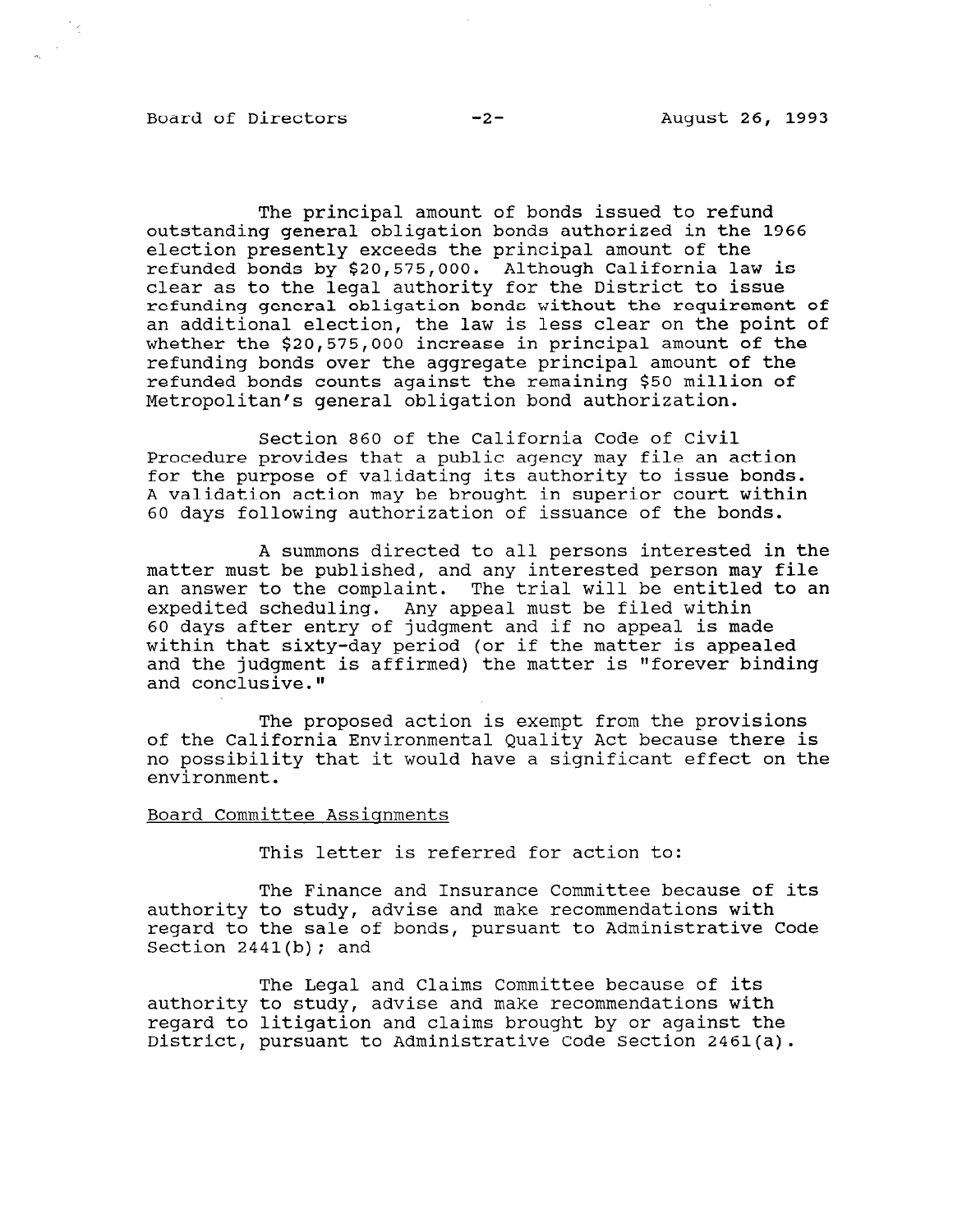## Board of Directors -2- August 26, 1993

The principal amount of bonds issued to refund outstanding general obligation bonds authorized in the 1966 election presently exceeds the principal amount of the refunded bonds by \$20,575,000. Although California law is clear as to the legal authority for the District to issue refunding general obligation bonds without the requirement of an additional election, the law is less clear on the point of whether the \$20,575,000 increase in principal amount of the refunding bonds over the aggregate principal amount of the refunded bonds counts against the remaining \$50 million of Metropolitan's general obligation bond authorization.

Section 860 of the California Code of Civil Procedure provides that a public agency may file an action for the purpose of validating its authority to issue bonds. A validation action may be brought in superior court within 60 days following authorization of issuance of the bonds.

A summons directed to all persons interested in the matter must be published, and any interested person may file an answer to the complaint. The trial will be entitled to an expedited scheduling. Any appeal must be filed within 60 days after entry of judgment and if no appeal is made within that sixty-day period (or if the matter is appealed and the judgment is affirmed) the matter is "forever binding and conclusive."

The proposed action is exempt from the provisions of the California Environmental Quality Act because there is no possibility that it would have a significant effect on the environment.

## Board Committee Assignments

This letter is referred for action to:

The Finance and Insurance Committee because of its authority to study, advise and make recommendations with regard to the sale of bonds, pursuant to Administrative Code Section  $2441(b)$ ; and

The Legal and Claims Committee because of its and cidims committee because of its median recommendations with authority to study, advise and make recommendations with regard to litigation and claims brought by or against the District, pursuant to Administrative Code Section 2461(a).